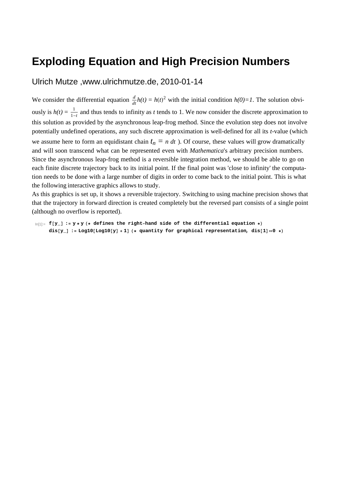## **Exploding Equation and High Precision Numbers**

Ulrich Mutze ,www.ulrichmutze.de, 2010-01-14

We consider the differential equation  $\frac{d}{dt}h(t) = h(t)^2$  with the initial condition  $h(0)=1$ . The solution obviously is  $h(t) = \frac{1}{1}$  $\frac{1}{1-t}$  and thus tends to infinity as *t* tends to 1. We now consider the discrete approximation to this solution as provided by the asynchronous leap-frog method. Since the evolution step does not involve potentially undefined operations, any such discrete approximation is well-defined for all its *t*-value (which we assume here to form an equidistant chain  $t_n = n \, dt$  ). Of course, these values will grow dramatically and will soon transcend what can be represented even with *Mathematica*'s arbitrary precision numbers. Since the asynchronous leap-frog method is a reversible integration method, we should be able to go on each finite discrete trajectory back to its initial point. If the final point was 'close to infinity' the computation needs to be done with a large number of digits in order to come back to the initial point. This is what the following interactive graphics allows to study.

As this graphics is set up, it shows a reversible trajectory. Switching to using machine precision shows that that the trajectory in forward direction is created completely but the reversed part consists of a single point (although no overflow is reported).

```
\ln(1): f[y_] := y * y (* defines the right-hand side of the differential equation *)
dis[Y_] := Log10[Log10[y] +1] (* quantity for graphical representation, dis[1] == 0 *)
```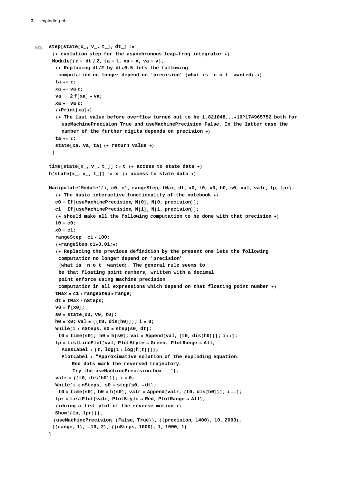```
In[3]: step[state[x_, v_, t_], dt_] :=
  H* evolution step for the asynchronous leap-frog integrator *L
 Module[{\tau = dt / 2, ta = t, xa = x, va = v},
   H* Replacing dt2 by dt*0.5 lets the following
    computation no longer depend on 'precision' (what is n o t wanted).*)
   ta += Τ;
   xa += va Τ;
   \mathbf{v} = 2 \mathbf{f} [\mathbf{x} \mathbf{a}] - \mathbf{v} \mathbf{a};
   xa += va Τ;
   (*Print[xa]*)H* The last value before overflow turned out to be 1.821048...*10^174965752 both for
     useMachinePrecisionTrue and useMachinePrecisionFalse. In the latter case the
     number of the further digits depends on precision *L
   ta += Τ;
   state[xa, va, ta] (* return value *)
 D
\tan \theta time [state [\mathbf{x}_1, \mathbf{v}_2, \mathbf{t}_1]] := \mathbf{t} (* access to state data *)
h[state[x_1, v_1, t_2]] := x (* access to state data *)
Manipulate[Module[{i, c0, c1, rangeStep, tMax, dt, x0, t0, v0, h0, s0, val, valr, lp, lpr},
   H* The basic interactive functionality of the notebook *L
   c0 = If@useMachinePrecision, N@0D, N@0, precisionDD;
   c1 = If [useMachinePrecision, N[1], N[1, precision];
   H* should make all the following computation to be done with that precision *L
   t0 = c0;
   x0 = c1;
   rangeStep = c1  100;
   H*rangeStep=c1*0.01;*L
   H* Replacing the previous definition by the present one lets the following
    computation no longer depend on 'precision'
    Hwhat is n o t wantedL. The general rule seems to
    be that floating point numbers, written with a decimal
    point enforce using machine precision
    computation in all expressions which depend on that floating point number *L
   tMax = c1 + rangeStep* range;
   dt = tMax  nSteps;
   v0 = f[x0];s0 = state[x0, v0, t0];
   h0 = x0; val = 88t0, dis@h0D<<; i = 0;
   \text{While}\begin{bmatrix} i < n\text{Steps}\text{, so} = \text{step} \begin{bmatrix} s0 & \text{dt} \end{bmatrix}t0 = time[s0]; h0 = h[s0]; val = Append[val, {t0, dis[h0]}]; i++];
   lp = ListLinePlot@val, PlotStyle ® Green, PlotRange ® All,
     {\text{AreaLabel}} \rightarrow {\text{t, log}[1 + \log[h[t]]]},PlotLabel ® "Approximative solution of the exploding equation.
          Red dots mark the reversed trajectory.
          Try the useMachinePrecision-box ! "D;
   valr = \{\{t0, dist[h0]\}\}; i = 0;[While[i \langle nSteps, \mathbf{s0} = \mathbf{step}[\mathbf{s0}, -\mathbf{dt}];
    t0 = time[s0]; h0 = h[s0]; valr = Append[valr, {t0, dis[h0]}]; i++];
   lpr = ListPlot[valr, PlotStyle → Red, PlotRange → All];
   (*\text{doing a list plot of the reverse motion *)}Show[{lp, lpr}]]8useMachinePrecision, 8False, True<<, 88precision, 1400<, 10, 2000<,
  88range, 1<, -10, 2<, 88nSteps, 1000<, 1, 1000, 1<
D
```